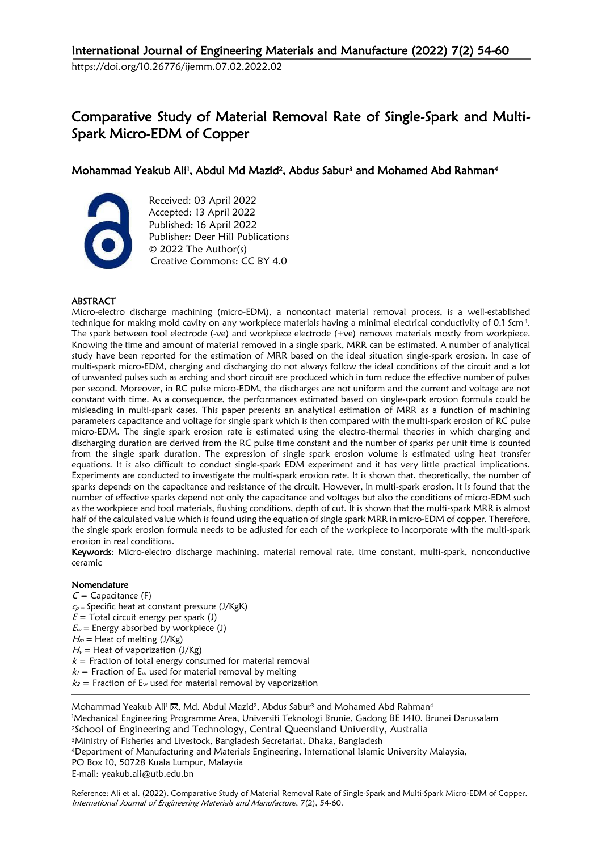International Journal of Engineering Materials and Manufacture (2022) 7(2) 54-60

https://doi.org/10.26776/ijemm.07.02.2022.02

# Comparative Study of Material Removal Rate of Single-Spark and Multi-Spark Micro-EDM of Copper

## Mohammad Yeakub Ali<sup>1</sup>, Abdul Md Mazid<sup>2</sup>, Abdus Sabur<sup>3</sup> and Mohamed Abd Rahman<sup>4</sup>



Received: 03 April 2022 Accepted: 13 April 2022 Published: 16 April 2022 Publisher: Deer Hill Publications © 2022 The Author(s) Creative Commons: CC BY 4.0

## ABSTRACT

Micro-electro discharge machining (micro-EDM), a noncontact material removal process, is a well-established technique for making mold cavity on any workpiece materials having a minimal electrical conductivity of 0.1 Scm-1 . The spark between tool electrode (-ve) and workpiece electrode (+ve) removes materials mostly from workpiece. Knowing the time and amount of material removed in a single spark, MRR can be estimated. A number of analytical study have been reported for the estimation of MRR based on the ideal situation single-spark erosion. In case of multi-spark micro-EDM, charging and discharging do not always follow the ideal conditions of the circuit and a lot of unwanted pulses such as arching and short circuit are produced which in turn reduce the effective number of pulses per second. Moreover, in RC pulse micro-EDM, the discharges are not uniform and the current and voltage are not constant with time. As a consequence, the performances estimated based on single-spark erosion formula could be misleading in multi-spark cases. This paper presents an analytical estimation of MRR as a function of machining parameters capacitance and voltage for single spark which is then compared with the multi-spark erosion of RC pulse micro-EDM. The single spark erosion rate is estimated using the electro-thermal theories in which charging and discharging duration are derived from the RC pulse time constant and the number of sparks per unit time is counted from the single spark duration. The expression of single spark erosion volume is estimated using heat transfer equations. It is also difficult to conduct single-spark EDM experiment and it has very little practical implications. Experiments are conducted to investigate the multi-spark erosion rate. It is shown that, theoretically, the number of sparks depends on the capacitance and resistance of the circuit. However, in multi-spark erosion, it is found that the number of effective sparks depend not only the capacitance and voltages but also the conditions of micro-EDM such as the workpiece and tool materials, flushing conditions, depth of cut. It is shown that the multi-spark MRR is almost half of the calculated value which is found using the equation of single spark MRR in micro-EDM of copper. Therefore, the single spark erosion formula needs to be adjusted for each of the workpiece to incorporate with the multi-spark erosion in real conditions.

Keywords: Micro-electro discharge machining, material removal rate, time constant, multi-spark, nonconductive ceramic

#### Nomenclature

- $C =$  Capacitance (F)
- $c_p$  = Specific heat at constant pressure (J/KgK)
- $E =$  Total circuit energy per spark (J)
- $E_w$  = Energy absorbed by workpiece (J)
- $H_m$  = Heat of melting (J/Kg)
- $H_v$  = Heat of vaporization (J/Kg)
- $k =$  Fraction of total energy consumed for material removal
- $k_1$  = Fraction of E<sub>w</sub> used for material removal by melting
- $k_2$  = Fraction of E<sub>w</sub> used for material removal by vaporization

Mohammad Yeakub Ali' ⊠, Md. Abdul Mazid<sup>2</sup>, Abdus Sabur<sup>3</sup> and Mohamed Abd Rahman<sup>4</sup> <sup>1</sup>Mechanical Engineering Programme Area, Universiti Teknologi Brunie, Gadong BE 1410, Brunei Darussalam <sup>2</sup>School of Engineering and Technology, Central Queensland University, Australia <sup>3</sup>Ministry of Fisheries and Livestock, Bangladesh Secretariat, Dhaka, Bangladesh <sup>4</sup>Department of Manufacturing and Materials Engineering, International Islamic University Malaysia, PO Box 10, 50728 Kuala Lumpur, Malaysia E-mail: yeakub.ali@utb.edu.bn

Reference: Ali et al. (2022). Comparative Study of Material Removal Rate of Single-Spark and Multi-Spark Micro-EDM of Copper. International Journal of Engineering Materials and Manufacture, 7(2), 54-60.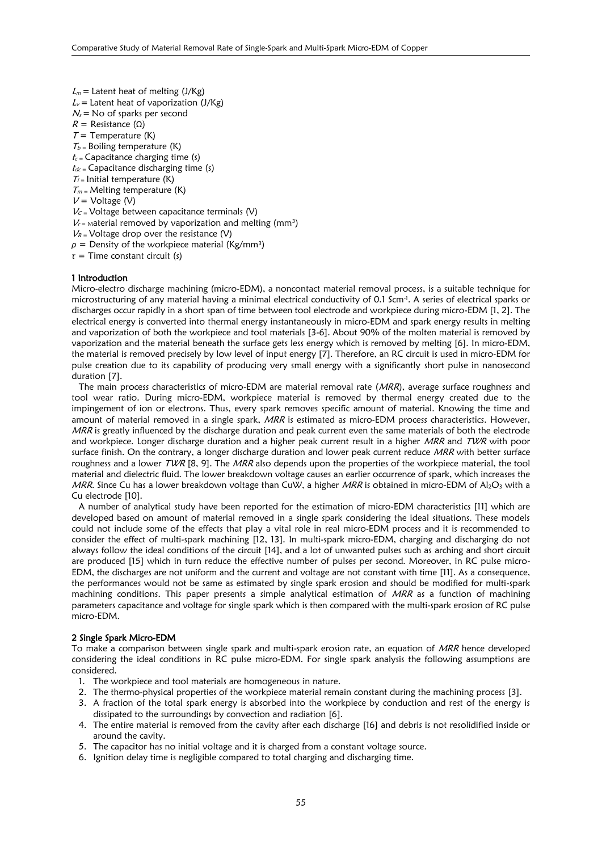- $L_m$  = Latent heat of melting (J/Kg)
- $L_v$  = Latent heat of vaporization (J/Kg)
- $N_s$  = No of sparks per second
- $R$  = Resistance ( $\Omega$ )
- $T =$  Temperature (K)
- $T_b$  = Boiling temperature (K)
- $t_c$  = Capacitance charging time (s)
- $t_{dc}$  = Capacitance discharging time (s)
- $T_i$  = Initial temperature (K)
- $T_m$  = Melting temperature (K)
- $V =$  Voltage (V)
- $V_C$  = Voltage between capacitance terminals (V)
- $V_{r}$  = Material removed by vaporization and melting (mm<sup>3</sup>)
- $V_R$  = Voltage drop over the resistance (V)
- $\rho$  = Density of the workpiece material (Kg/mm<sup>3</sup>)
- *τ* = Time constant circuit (s)

#### 1 Introduction

Micro-electro discharge machining (micro-EDM), a noncontact material removal process, is a suitable technique for microstructuring of any material having a minimal electrical conductivity of 0.1 Scm<sup>.1</sup>. A series of electrical sparks or discharges occur rapidly in a short span of time between tool electrode and workpiece during micro-EDM [1, 2]. The electrical energy is converted into thermal energy instantaneously in micro-EDM and spark energy results in melting and vaporization of both the workpiece and tool materials [3-6]. About 90% of the molten material is removed by vaporization and the material beneath the surface gets less energy which is removed by melting [6]. In micro-EDM, the material is removed precisely by low level of input energy [7]. Therefore, an RC circuit is used in micro-EDM for pulse creation due to its capability of producing very small energy with a significantly short pulse in nanosecond duration [7].

The main process characteristics of micro-EDM are material removal rate (MRR), average surface roughness and tool wear ratio. During micro-EDM, workpiece material is removed by thermal energy created due to the impingement of ion or electrons. Thus, every spark removes specific amount of material. Knowing the time and amount of material removed in a single spark, MRR is estimated as micro-EDM process characteristics. However, MRR is greatly influenced by the discharge duration and peak current even the same materials of both the electrode and workpiece. Longer discharge duration and a higher peak current result in a higher MRR and TWR with poor surface finish. On the contrary, a longer discharge duration and lower peak current reduce MRR with better surface roughness and a lower TWR [8, 9]. The MRR also depends upon the properties of the workpiece material, the tool material and dielectric fluid. The lower breakdown voltage causes an earlier occurrence of spark, which increases the MRR. Since Cu has a lower breakdown voltage than CuW, a higher MRR is obtained in micro-EDM of Al<sub>2</sub>O<sub>3</sub> with a Cu electrode [10].

A number of analytical study have been reported for the estimation of micro-EDM characteristics [11] which are developed based on amount of material removed in a single spark considering the ideal situations. These models could not include some of the effects that play a vital role in real micro-EDM process and it is recommended to consider the effect of multi-spark machining [12, 13]. In multi-spark micro-EDM, charging and discharging do not always follow the ideal conditions of the circuit [14], and a lot of unwanted pulses such as arching and short circuit are produced [15] which in turn reduce the effective number of pulses per second. Moreover, in RC pulse micro-EDM, the discharges are not uniform and the current and voltage are not constant with time [11]. As a consequence, the performances would not be same as estimated by single spark erosion and should be modified for multi-spark machining conditions. This paper presents a simple analytical estimation of  $MRR$  as a function of machining parameters capacitance and voltage for single spark which is then compared with the multi-spark erosion of RC pulse micro-EDM.

#### 2 Single Spark Micro-EDM

To make a comparison between single spark and multi-spark erosion rate, an equation of MRR hence developed considering the ideal conditions in RC pulse micro-EDM. For single spark analysis the following assumptions are considered.

- 1. The workpiece and tool materials are homogeneous in nature.
- 2. The thermo-physical properties of the workpiece material remain constant during the machining process [3].
- 3. A fraction of the total spark energy is absorbed into the workpiece by conduction and rest of the energy is dissipated to the surroundings by convection and radiation [6].
- 4. The entire material is removed from the cavity after each discharge [16] and debris is not resolidified inside or around the cavity.
- 5. The capacitor has no initial voltage and it is charged from a constant voltage source.
- 6. Ignition delay time is negligible compared to total charging and discharging time.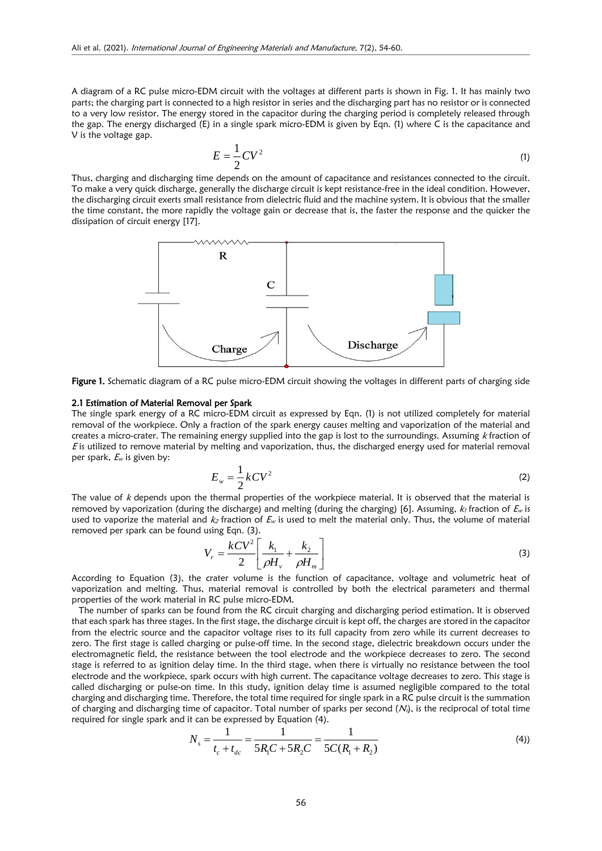A diagram of a RC pulse micro-EDM circuit with the voltages at different parts is shown in Fig. 1. It has mainly two parts; the charging part is connected to a high resistor in series and the discharging part has no resistor or is connected to a very low resistor. The energy stored in the capacitor during the charging period is completely released through the gap. The energy discharged (E) in a single spark micro-EDM is given by Eqn. (1) where C is the capacitance and V is the voltage gap.

$$
E = \frac{1}{2}CV^2\tag{1}
$$

Thus, charging and discharging time depends on the amount of capacitance and resistances connected to the circuit. To make a very quick discharge, generally the discharge circuit is kept resistance-free in the ideal condition. However, the discharging circuit exerts small resistance from dielectric fluid and the machine system. It is obvious that the smaller the time constant, the more rapidly the voltage gain or decrease that is, the faster the response and the quicker the dissipation of circuit energy [17].



Figure 1. Schematic diagram of a RC pulse micro-EDM circuit showing the voltages in different parts of charging side

#### 2.1 Estimation of Material Removal per Spark

The single spark energy of a RC micro-EDM circuit as expressed by Eqn. (1) is not utilized completely for material removal of the workpiece. Only a fraction of the spark energy causes melting and vaporization of the material and creates a micro-crater. The remaining energy supplied into the gap is lost to the surroundings. Assuming  $k$  fraction of  $E$  is utilized to remove material by melting and vaporization, thus, the discharged energy used for material removal per spark,  $E_w$  is given by:

$$
E_w = \frac{1}{2}kCV^2\tag{2}
$$

The value of  $k$  depends upon the thermal properties of the workpiece material. It is observed that the material is removed by vaporization (during the discharge) and melting (during the charging) [6]. Assuming,  $k_1$  fraction of  $E_w$  is used to vaporize the material and  $k_2$  fraction of  $E_w$  is used to melt the material only. Thus, the volume of material removed per spark can be found using Eqn. (3).

$$
V_r = \frac{kCV^2}{2} \left[ \frac{k_1}{\rho H_v} + \frac{k_2}{\rho H_m} \right]
$$
 (3)

According to Equation (3), the crater volume is the function of capacitance, voltage and volumetric heat of vaporization and melting. Thus, material removal is controlled by both the electrical parameters and thermal properties of the work material in RC pulse micro-EDM.

The number of sparks can be found from the RC circuit charging and discharging period estimation. It is observed that each spark has three stages. In the first stage, the discharge circuit is kept off, the charges are stored in the capacitor from the electric source and the capacitor voltage rises to its full capacity from zero while its current decreases to zero. The first stage is called charging or pulse-off time. In the second stage, dielectric breakdown occurs under the electromagnetic field, the resistance between the tool electrode and the workpiece decreases to zero. The second stage is referred to as ignition delay time. In the third stage, when there is virtually no resistance between the tool electrode and the workpiece, spark occurs with high current. The capacitance voltage decreases to zero. This stage is called discharging or pulse-on time. In this study, ignition delay time is assumed negligible compared to the total charging and discharging time. Therefore, the total time required for single spark in a RC pulse circuit is the summation of charging and discharging time of capacitor. Total number of sparks per second  $(N_s)$ , is the reciprocal of total time required for single spark and it can be expressed by Equation (4).

$$
N_s = \frac{1}{t_c + t_{dc}} = \frac{1}{5R_1C + 5R_2C} = \frac{1}{5C(R_1 + R_2)}
$$
(4)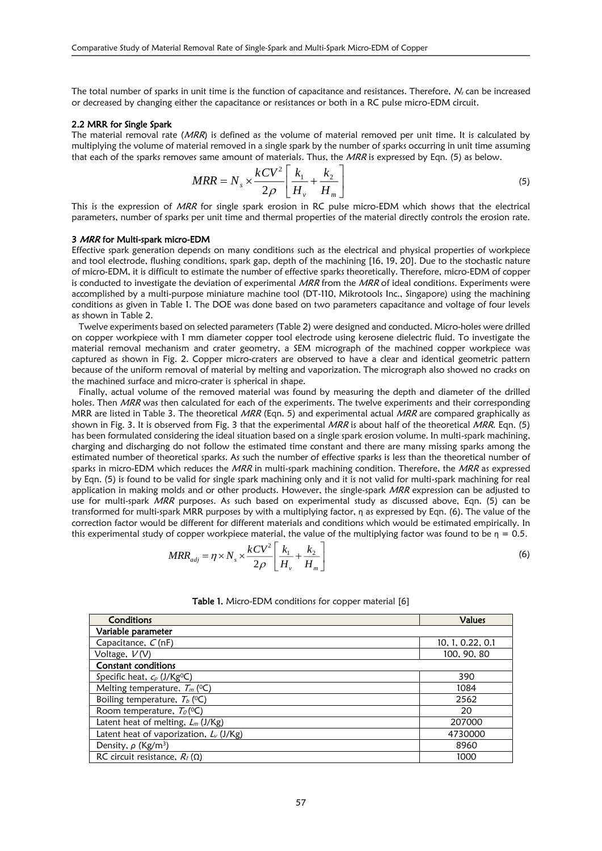The total number of sparks in unit time is the function of capacitance and resistances. Therefore,  $N_s$  can be increased or decreased by changing either the capacitance or resistances or both in a RC pulse micro-EDM circuit.

#### 2.2 MRR for Single Spark

The material removal rate (MRR) is defined as the volume of material removed per unit time. It is calculated by multiplying the volume of material removed in a single spark by the number of sparks occurring in unit time assuming that each of the sparks removes same amount of materials. Thus, the  $MRR$  is expressed by Eqn. (5) as below.

$$
MRR = N_s \times \frac{kCV^2}{2\rho} \left[ \frac{k_1}{H_v} + \frac{k_2}{H_m} \right]
$$
 (5)

This is the expression of MRR for single spark erosion in RC pulse micro-EDM which shows that the electrical parameters, number of sparks per unit time and thermal properties of the material directly controls the erosion rate.

### 3 MRR for Multi-spark micro-EDM

Effective spark generation depends on many conditions such as the electrical and physical properties of workpiece and tool electrode, flushing conditions, spark gap, depth of the machining [16, 19, 20]. Due to the stochastic nature of micro-EDM, it is difficult to estimate the number of effective sparks theoretically. Therefore, micro-EDM of copper is conducted to investigate the deviation of experimental  $MRR$  from the  $MRR$  of ideal conditions. Experiments were accomplished by a multi-purpose miniature machine tool (DT-110, Mikrotools Inc., Singapore) using the machining conditions as given in Table 1. The DOE was done based on two parameters capacitance and voltage of four levels as shown in Table 2.

Twelve experiments based on selected parameters (Table 2) were designed and conducted. Micro-holes were drilled on copper workpiece with 1 mm diameter copper tool electrode using kerosene dielectric fluid. To investigate the material removal mechanism and crater geometry, a SEM micrograph of the machined copper workpiece was captured as shown in Fig. 2. Copper micro-craters are observed to have a clear and identical geometric pattern because of the uniform removal of material by melting and vaporization. The micrograph also showed no cracks on the machined surface and micro-crater is spherical in shape.

Finally, actual volume of the removed material was found by measuring the depth and diameter of the drilled holes. Then MRR was then calculated for each of the experiments. The twelve experiments and their corresponding MRR are listed in Table 3. The theoretical MRR (Eqn. 5) and experimental actual MRR are compared graphically as shown in Fig. 3. It is observed from Fig. 3 that the experimental MRR is about half of the theoretical MRR. Eqn. (5) has been formulated considering the ideal situation based on a single spark erosion volume. In multi-spark machining, charging and discharging do not follow the estimated time constant and there are many missing sparks among the estimated number of theoretical sparks. As such the number of effective sparks is less than the theoretical number of sparks in micro-EDM which reduces the MRR in multi-spark machining condition. Therefore, the MRR as expressed by Eqn. (5) is found to be valid for single spark machining only and it is not valid for multi-spark machining for real application in making molds and or other products. However, the single-spark MRR expression can be adjusted to use for multi-spark MRR purposes. As such based on experimental study as discussed above, Eqn. (5) can be transformed for multi-spark MRR purposes by with a multiplying factor, η as expressed by Eqn. (6). The value of the correction factor would be different for different materials and conditions which would be estimated empirically. In this experimental study of copper workpiece material, the value of the multiplying factor was found to be  $\eta = 0.5$ .

$$
MRR_{adj} = \eta \times N_s \times \frac{kCV^2}{2\rho} \left[ \frac{k_1}{H_v} + \frac{k_2}{H_m} \right]
$$
 (6)

| Conditions                                 | <b>Values</b>    |
|--------------------------------------------|------------------|
| Variable parameter                         |                  |
| Capacitance, $C(nF)$                       | 10, 1, 0.22, 0.1 |
| Voltage, $V(V)$                            | 100, 90, 80      |
| Constant conditions                        |                  |
| Specific heat, $c_p$ (J/Kg <sup>o</sup> C) | 390              |
| Melting temperature, $T_m$ (°C)            | 1084             |
| Boiling temperature, $T_b$ (°C)            | 2562             |
| Room temperature, $T_0$ (°C)               | 20               |
| Latent heat of melting, $L_m$ (J/Kg)       | 207000           |
| Latent heat of vaporization, $L_v$ (J/Kg)  | 4730000          |
| Density, $\rho$ (Kg/m <sup>3</sup> )       | 8960             |
| RC circuit resistance, $R_1(\Omega)$       | 1000             |

#### Table 1. Micro-EDM conditions for copper material [6]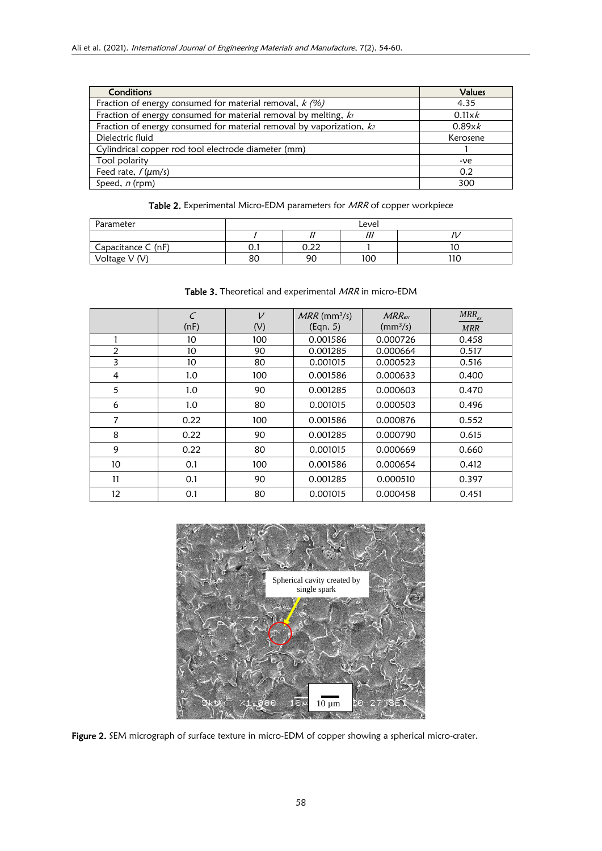| Conditions                                                              | <b>Values</b> |
|-------------------------------------------------------------------------|---------------|
| Fraction of energy consumed for material removal, $k$ (%)               | 4.35          |
| Fraction of energy consumed for material removal by melting, $k_1$      | 0.11x k       |
| Fraction of energy consumed for material removal by vaporization, $k_2$ | 0.89xk        |
| Dielectric fluid                                                        | Kerosene      |
| Cylindrical copper rod tool electrode diameter (mm)                     |               |
| Tool polarity                                                           | -ve           |
| Feed rate, $f(\mu m/s)$                                                 | 0.2           |
| Speed, $n$ (rpm)                                                        | 300           |

Table 2. Experimental Micro-EDM parameters for MRR of copper workpiece

| Parameter          | Level |              |     |     |  |
|--------------------|-------|--------------|-----|-----|--|
|                    |       |              | /// |     |  |
| Capacitance C (nF) | ◡. ៶  | ר רח<br>◡.∠∠ |     |     |  |
| Voltage V (V)      | 80    | 90           | 100 | 110 |  |

|                | $\mathcal{C}_{0}$<br>(nF) | $\mathcal{V}$<br>(V) | $MRR$ (mm <sup>3</sup> /s)<br>(Eqn. 5) | $MRR_{ex}$<br>(mm <sup>3</sup> /s) | $MRR_{ex}$<br><b>MRR</b> |
|----------------|---------------------------|----------------------|----------------------------------------|------------------------------------|--------------------------|
| 1              | 10                        | 100                  | 0.001586                               | 0.000726                           | 0.458                    |
| 2              | 10                        | 90                   | 0.001285<br>0.000664                   |                                    | 0.517                    |
| 3              | 10                        | 80                   | 0.001015                               | 0.000523                           | 0.516                    |
| $\overline{4}$ | 1.0                       | 100                  | 0.001586                               | 0.000633                           | 0.400                    |
| 5              | 1.0                       | 90                   | 0.001285                               | 0.000603                           | 0.470                    |
| 6              | 1.0                       | 80                   | 0.001015                               | 0.000503                           | 0.496                    |
| 7              | 0.22                      | 100                  | 0.001586                               | 0.000876                           | 0.552                    |
| 8              | 0.22                      | 90                   | 0.001285                               | 0.000790                           | 0.615                    |
| 9              | 0.22                      | 80                   | 0.001015                               | 0.000669                           | 0.660                    |
| 10             | 0.1                       | 100                  | 0.001586                               | 0.000654                           | 0.412                    |
| 11             | 0.1                       | 90                   | 0.001285                               | 0.000510                           | 0.397                    |
| 12             | 0.1                       | 80                   | 0.001015                               | 0.000458                           | 0.451                    |

Table 3. Theoretical and experimental MRR in micro-EDM



**Figure 2.** SEM micrograph of surface texture in micro-EDM of copper showing a spherical micro-crater.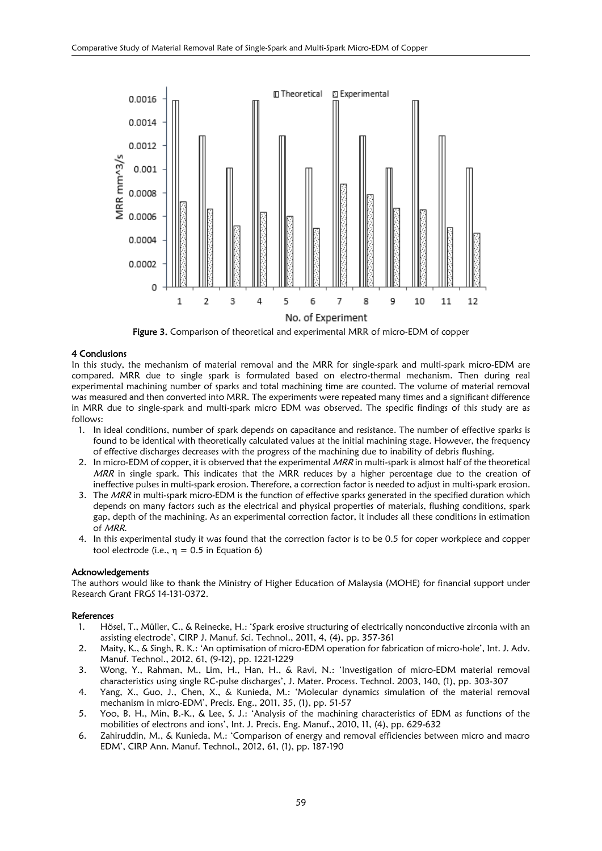

Figure 3. Comparison of theoretical and experimental MRR of micro-EDM of copper

#### 4 Conclusions

In this study, the mechanism of material removal and the MRR for single-spark and multi-spark micro-EDM are compared. MRR due to single spark is formulated based on electro-thermal mechanism. Then during real experimental machining number of sparks and total machining time are counted. The volume of material removal was measured and then converted into MRR. The experiments were repeated many times and a significant difference in MRR due to single-spark and multi-spark micro EDM was observed. The specific findings of this study are as follows:

- 1. In ideal conditions, number of spark depends on capacitance and resistance. The number of effective sparks is found to be identical with theoretically calculated values at the initial machining stage. However, the frequency of effective discharges decreases with the progress of the machining due to inability of debris flushing.
- 2. In micro-EDM of copper, it is observed that the experimental  $MRR$  in multi-spark is almost half of the theoretical MRR in single spark. This indicates that the MRR reduces by a higher percentage due to the creation of ineffective pulses in multi-spark erosion. Therefore, a correction factor is needed to adjust in multi-spark erosion.
- 3. The MRR in multi-spark micro-EDM is the function of effective sparks generated in the specified duration which depends on many factors such as the electrical and physical properties of materials, flushing conditions, spark gap, depth of the machining. As an experimental correction factor, it includes all these conditions in estimation of MRR.
- 4. In this experimental study it was found that the correction factor is to be 0.5 for coper workpiece and copper tool electrode (i.e.,  $\eta = 0.5$  in Equation 6)

#### Acknowledgements

The authors would like to thank the Ministry of Higher Education of Malaysia (MOHE) for financial support under Research Grant FRGS 14-131-0372.

#### References

- 1. Hösel, T., Müller, C., & Reinecke, H.: 'Spark erosive structuring of electrically nonconductive zirconia with an assisting electrode', CIRP J. Manuf. Sci. Technol., 2011, 4, (4), pp. 357-361
- 2. Maity, K., & Singh, R. K.: 'An optimisation of micro-EDM operation for fabrication of micro-hole', Int. J. Adv. Manuf. Technol., 2012, 61, (9-12), pp. 1221-1229
- 3. Wong, Y., Rahman, M., Lim, H., Han, H., & Ravi, N.: 'Investigation of micro-EDM material removal characteristics using single RC-pulse discharges', J. Mater. Process. Technol. 2003, 140, (1), pp. 303-307
- 4. Yang, X., Guo, J., Chen, X., & Kunieda, M.: 'Molecular dynamics simulation of the material removal mechanism in micro-EDM', Precis. Eng., 2011, 35, (1), pp. 51-57
- 5. Yoo, B. H., Min, B.-K., & Lee, S. J.: 'Analysis of the machining characteristics of EDM as functions of the mobilities of electrons and ions', Int. J. Precis. Eng. Manuf., 2010, 11, (4), pp. 629-632
- 6. Zahiruddin, M., & Kunieda, M.: 'Comparison of energy and removal efficiencies between micro and macro EDM', CIRP Ann. Manuf. Technol., 2012, 61, (1), pp. 187-190